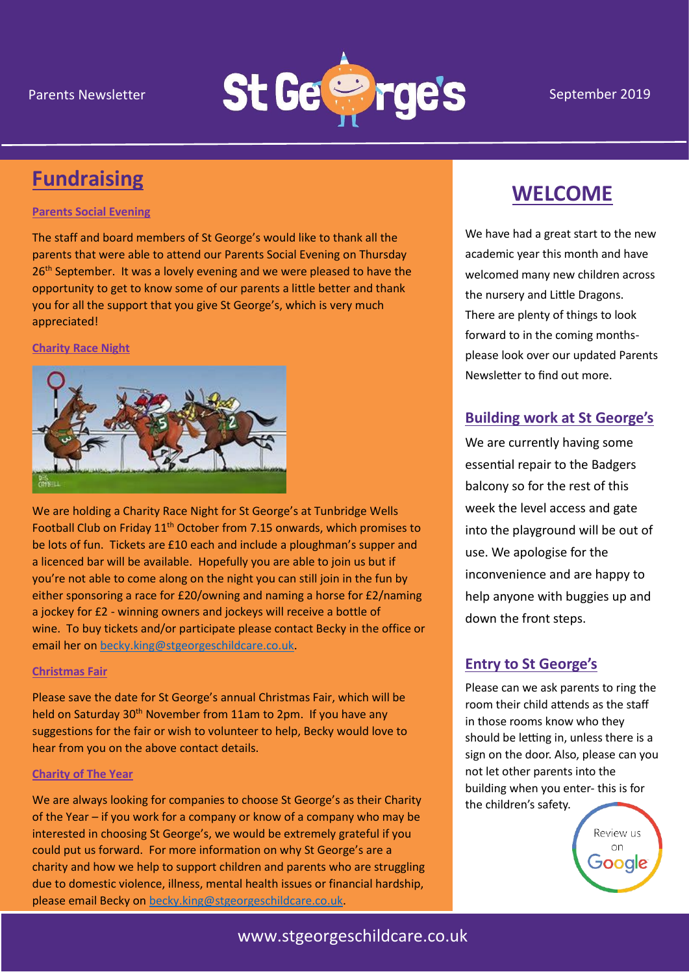

# **Fundraising**

#### **Parents Social Evening**

The staff and board members of St George's would like to thank all the parents that were able to attend our Parents Social Evening on Thursday 26<sup>th</sup> September. It was a lovely evening and we were pleased to have the opportunity to get to know some of our parents a little better and thank you for all the support that you give St George's, which is very much appreciated!

#### **Charity Race Night**



We are holding a Charity Race Night for St George's at Tunbridge Wells Football Club on Friday 11<sup>th</sup> October from 7.15 onwards, which promises to be lots of fun. Tickets are £10 each and include a ploughman's supper and a licenced bar will be available. Hopefully you are able to join us but if you're not able to come along on the night you can still join in the fun by either sponsoring a race for £20/owning and naming a horse for £2/naming a jockey for £2 - winning owners and jockeys will receive a bottle of wine. To buy tickets and/or participate please contact Becky in the office or email her o[n becky.king@stgeorgeschildcare.co.uk.](mailto:becky.king@stgeorgeschildcare.co.uk)

#### **Christmas Fair**

Please save the date for St George's annual Christmas Fair, which will be held on Saturday 30<sup>th</sup> November from 11am to 2pm. If you have any suggestions for the fair or wish to volunteer to help, Becky would love to hear from you on the above contact details.

#### **Charity of The Year**

We are always looking for companies to choose St George's as their Charity of the Year – if you work for a company or know of a company who may be interested in choosing St George's, we would be extremely grateful if you could put us forward. For more information on why St George's are a charity and how we help to support children and parents who are struggling due to domestic violence, illness, mental health issues or financial hardship, please email Becky on [becky.king@stgeorgeschildcare.co.uk.](mailto:becky.king@stgeorgeschildcare.co.uk)

## **WELCOME**

We have had a great start to the new academic year this month and have welcomed many new children across the nursery and Little Dragons. There are plenty of things to look forward to in the coming monthsplease look over our updated Parents Newsletter to find out more.

## **Building work at St George's**

We are currently having some essential repair to the Badgers balcony so for the rest of this week the level access and gate into the playground will be out of use. We apologise for the inconvenience and are happy to help anyone with buggies up and down the front steps.

### **Entry to St George's**

Please can we ask parents to ring the room their child attends as the staff in those rooms know who they should be letting in, unless there is a sign on the door. Also, please can you not let other parents into the building when you enter- this is for the children's safety.

> Review us  $\cap$ n Google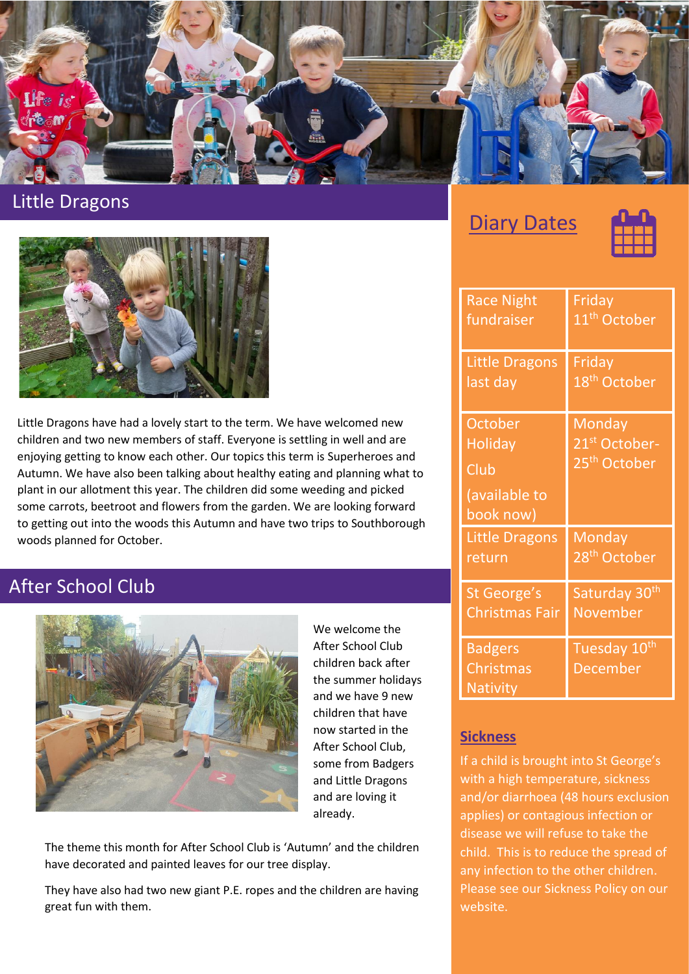

## Little Dragons



Little Dragons have had a lovely start to the term. We have welcomed new children and two new members of staff. Everyone is settling in well and are enjoying getting to know each other. Our topics this term is Superheroes and Autumn. We have also been talking about healthy eating and planning what to plant in our allotment this year. The children did some weeding and picked some carrots, beetroot and flowers from the garden. We are looking forward to getting out into the woods this Autumn and have two trips to Southborough woods planned for October.

## After School Club



We welcome the After School Club children back after the summer holidays and we have 9 new children that have now started in the After School Club, some from Badgers and Little Dragons and are loving it already.

The theme this month for After School Club is 'Autumn' and the children have decorated and painted leaves for our tree display.

They have also had two new giant P.E. ropes and the children are having great fun with them.

**Diary Dates** 



| <b>Race Night</b>                                               | Friday                                                          |
|-----------------------------------------------------------------|-----------------------------------------------------------------|
| fundraiser                                                      | 11 <sup>th</sup> October                                        |
| <b>Little Dragons</b>                                           | Friday                                                          |
| last day                                                        | 18 <sup>th</sup> October                                        |
| October<br><b>Holiday</b><br>Club<br>(available to<br>book now) | Monday<br>21 <sup>st</sup> October-<br>25 <sup>th</sup> October |
| <b>Little Dragons</b>                                           | Monday                                                          |
| return                                                          | 28 <sup>th</sup> October                                        |
| St George's                                                     | Saturday 30 <sup>th</sup>                                       |
| <b>Christmas Fair</b>                                           | <b>November</b>                                                 |
| <b>Badgers</b><br>Christmas<br><b>Nativity</b>                  | Tuesday 10th<br><b>December</b>                                 |

### **Sickness**

If a child is brought into St George's with a high temperature, sickness and/or diarrhoea (48 hours exclusion applies) or contagious infection or disease we will refuse to take the child. This is to reduce the spread of any infection to the other children. Please see our Sickness Policy on our website.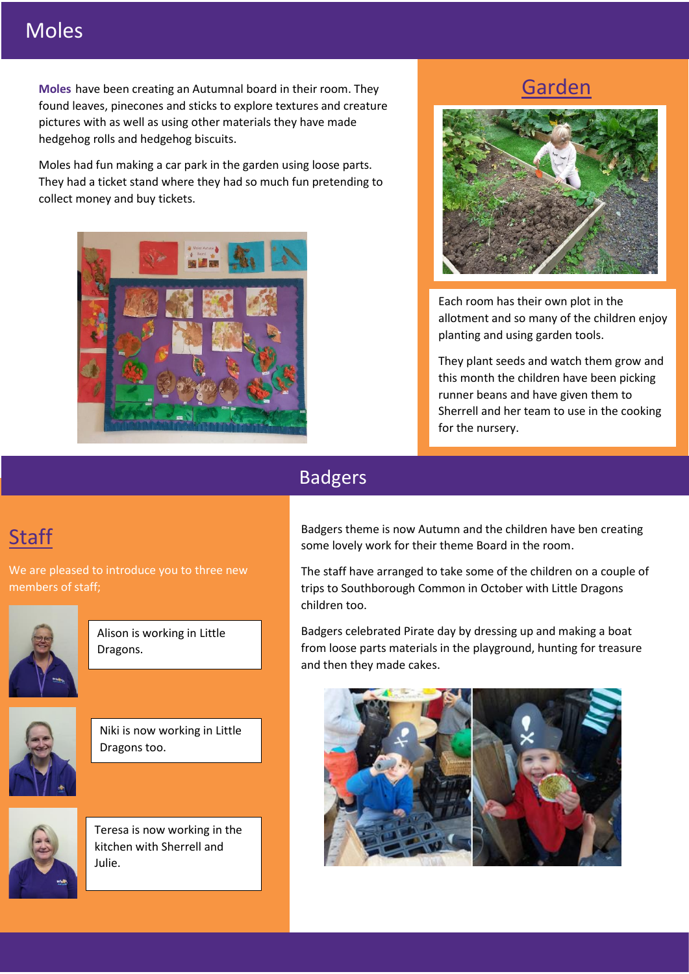## Moles

**Moles** have been creating an Autumnal board in their room. They found leaves, pinecones and sticks to explore textures and creature pictures with as well as using other materials they have made hedgehog rolls and hedgehog biscuits.

Moles had fun making a car park in the garden using loose parts. They had a ticket stand where they had so much fun pretending to collect money and buy tickets.



## Garden



Each room has their own plot in the allotment and so many of the children enjoy planting and using garden tools.

They plant seeds and watch them grow and this month the children have been picking runner beans and have given them to Sherrell and her team to use in the cooking for the nursery.

## Badgers

# **Staff**

We are pleased to introduce you to three new members of staff;



Alison is working in Little Dragons.



Niki is now working in Little Dragons too.



Teresa is now working in the kitchen with Sherrell and Julie.

Badgers theme is now Autumn and the children have ben creating some lovely work for their theme Board in the room.

The staff have arranged to take some of the children on a couple of trips to Southborough Common in October with Little Dragons children too.

Badgers celebrated Pirate day by dressing up and making a boat from loose parts materials in the playground, hunting for treasure and then they made cakes.